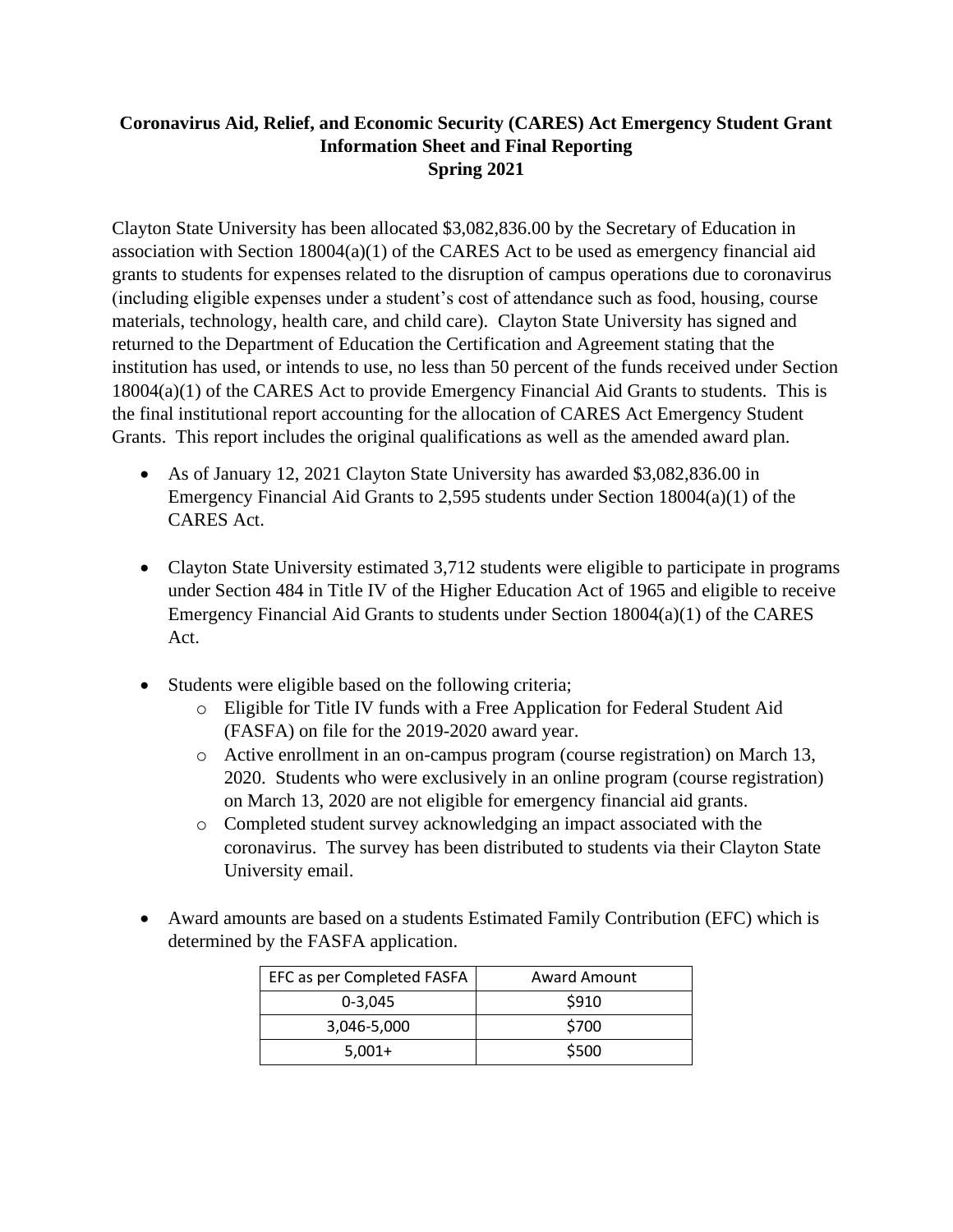# **Coronavirus Aid, Relief, and Economic Security (CARES) Act Emergency Student Grant Information Sheet and Final Reporting Spring 2021**

Clayton State University has been allocated \$3,082,836.00 by the Secretary of Education in association with Section 18004(a)(1) of the CARES Act to be used as emergency financial aid grants to students for expenses related to the disruption of campus operations due to coronavirus (including eligible expenses under a student's cost of attendance such as food, housing, course materials, technology, health care, and child care). Clayton State University has signed and returned to the Department of Education the Certification and Agreement stating that the institution has used, or intends to use, no less than 50 percent of the funds received under Section 18004(a)(1) of the CARES Act to provide Emergency Financial Aid Grants to students. This is the final institutional report accounting for the allocation of CARES Act Emergency Student Grants. This report includes the original qualifications as well as the amended award plan.

- As of January 12, 2021 Clayton State University has awarded \$3,082,836.00 in Emergency Financial Aid Grants to 2,595 students under Section 18004(a)(1) of the CARES Act.
- Clayton State University estimated 3,712 students were eligible to participate in programs under Section 484 in Title IV of the Higher Education Act of 1965 and eligible to receive Emergency Financial Aid Grants to students under Section 18004(a)(1) of the CARES Act.
- Students were eligible based on the following criteria;
	- o Eligible for Title IV funds with a Free Application for Federal Student Aid (FASFA) on file for the 2019-2020 award year.
	- o Active enrollment in an on-campus program (course registration) on March 13, 2020. Students who were exclusively in an online program (course registration) on March 13, 2020 are not eligible for emergency financial aid grants.
	- o Completed student survey acknowledging an impact associated with the coronavirus. The survey has been distributed to students via their Clayton State University email.
- Award amounts are based on a students Estimated Family Contribution (EFC) which is determined by the FASFA application.

| EFC as per Completed FASFA | <b>Award Amount</b> |
|----------------------------|---------------------|
| $0 - 3.045$                | \$910               |
| 3,046-5,000                | \$700               |
| $5.001+$                   | \$500               |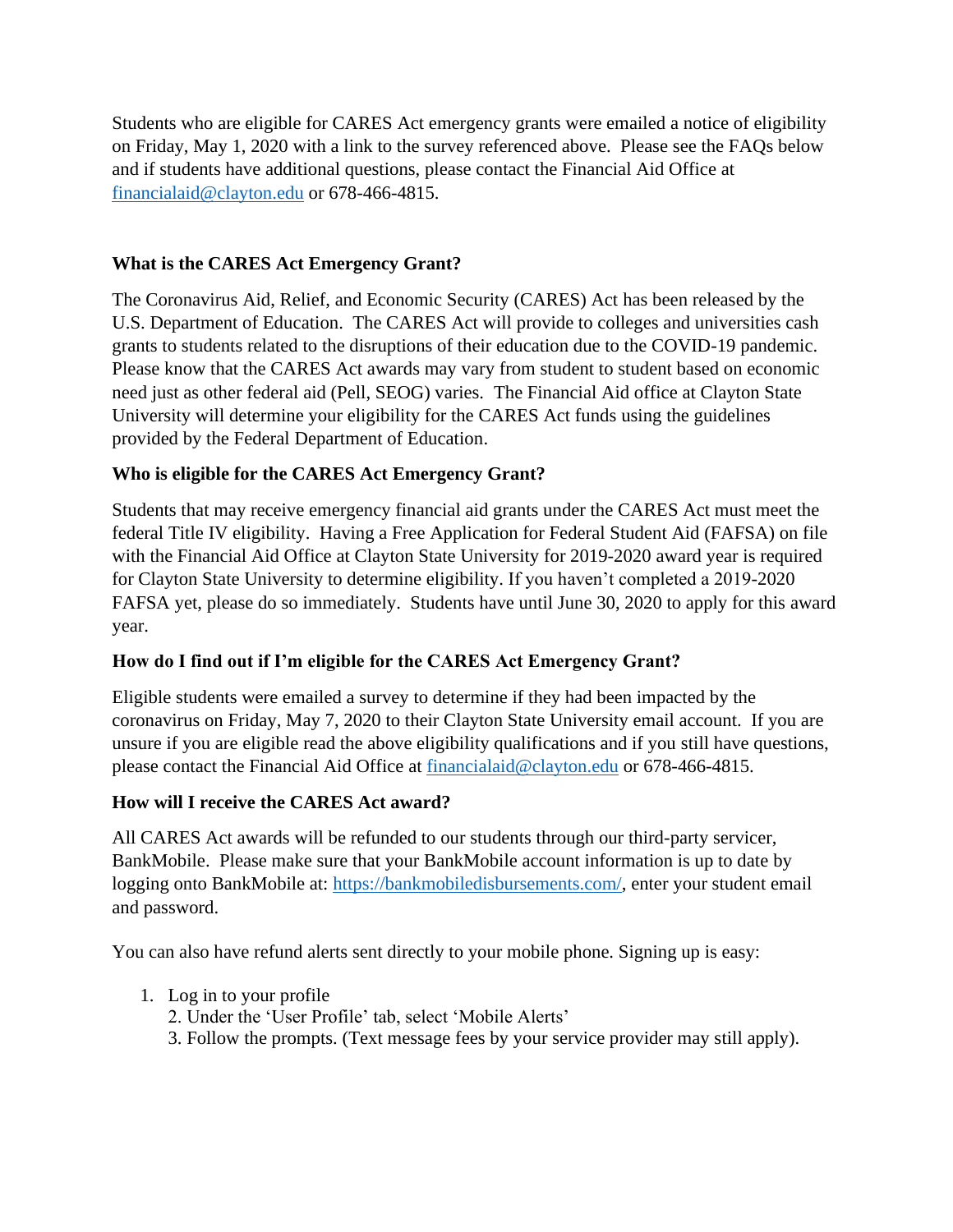Students who are eligible for CARES Act emergency grants were emailed a notice of eligibility on Friday, May 1, 2020 with a link to the survey referenced above. Please see the FAQs below and if students have additional questions, please contact the Financial Aid Office at [financialaid@clayton.edu](mailto:financialaid@clayton.edu) or 678-466-4815.

## **What is the CARES Act Emergency Grant?**

The Coronavirus Aid, Relief, and Economic Security (CARES) Act has been released by the U.S. Department of Education. The CARES Act will provide to colleges and universities cash grants to students related to the disruptions of their education due to the COVID-19 pandemic. Please know that the CARES Act awards may vary from student to student based on economic need just as other federal aid (Pell, SEOG) varies. The Financial Aid office at Clayton State University will determine your eligibility for the CARES Act funds using the guidelines provided by the Federal Department of Education.

## **Who is eligible for the CARES Act Emergency Grant?**

Students that may receive emergency financial aid grants under the CARES Act must meet the federal Title IV eligibility. Having a Free Application for Federal Student Aid (FAFSA) on file with the Financial Aid Office at Clayton State University for 2019-2020 award year is required for Clayton State University to determine eligibility. If you haven't completed a 2019-2020 FAFSA yet, please do so immediately. Students have until June 30, 2020 to apply for this award year.

### **How do I find out if I'm eligible for the CARES Act Emergency Grant?**

Eligible students were emailed a survey to determine if they had been impacted by the coronavirus on Friday, May 7, 2020 to their Clayton State University email account. If you are unsure if you are eligible read the above eligibility qualifications and if you still have questions, please contact the Financial Aid Office at [financialaid@clayton.edu](mailto:financialaid@clayton.edu) or 678-466-4815.

### **How will I receive the CARES Act award?**

All CARES Act awards will be refunded to our students through our third-party servicer, BankMobile. Please make sure that your BankMobile account information is up to date by logging onto BankMobile at: [https://bankmobiledisbursements.com/,](https://bankmobiledisbursements.com/) enter your student email and password.

You can also have refund alerts sent directly to your mobile phone. Signing up is easy:

- 1. Log in to your profile
	- 2. Under the 'User Profile' tab, select 'Mobile Alerts'
	- 3. Follow the prompts. (Text message fees by your service provider may still apply).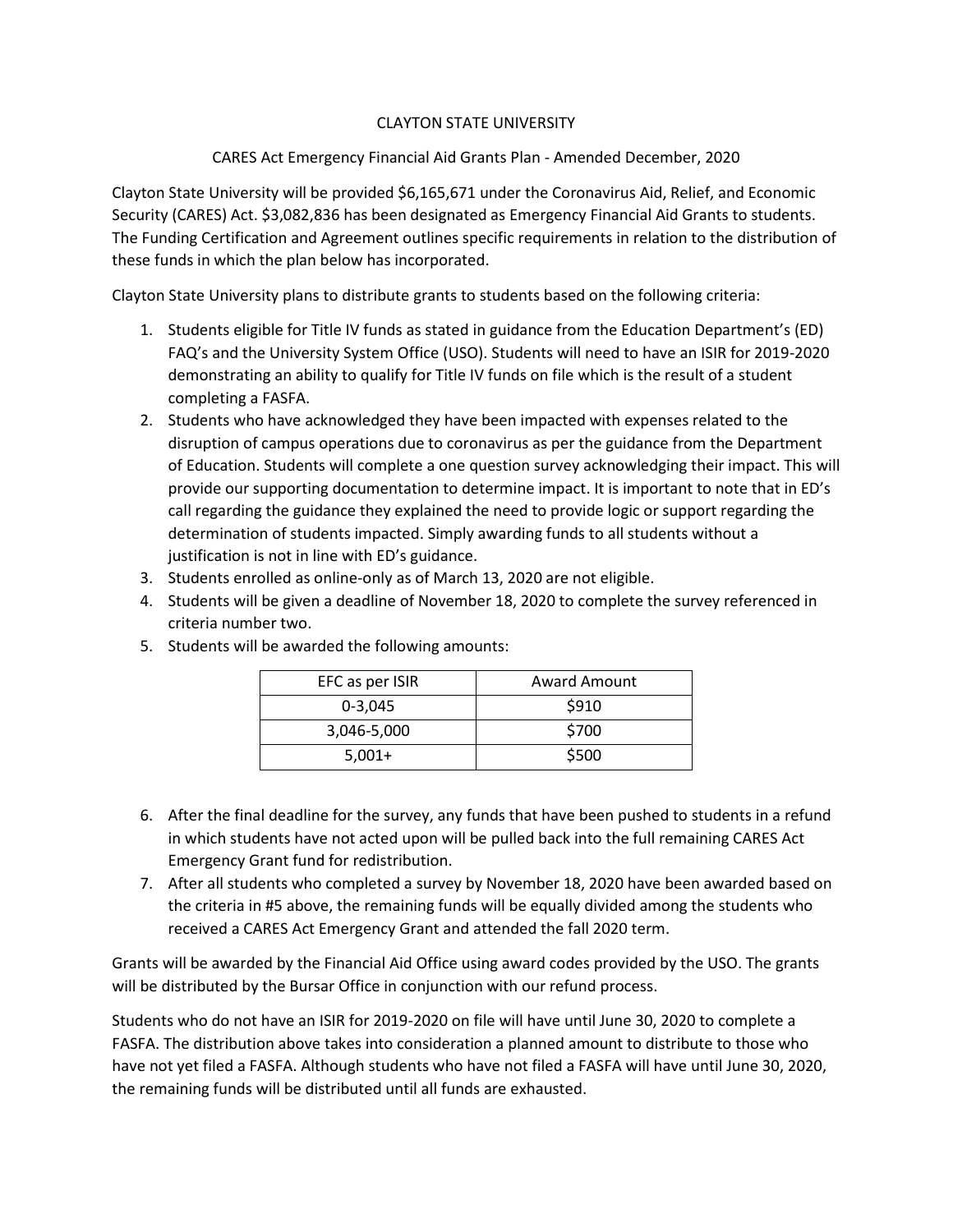#### CLAYTON STATE UNIVERSITY

CARES Act Emergency Financial Aid Grants Plan - Amended December, 2020

Clayton State University will be provided \$6,165,671 under the Coronavirus Aid, Relief, and Economic Security (CARES) Act. \$3,082,836 has been designated as Emergency Financial Aid Grants to students. The Funding Certification and Agreement outlines specific requirements in relation to the distribution of these funds in which the plan below has incorporated.

Clayton State University plans to distribute grants to students based on the following criteria:

- 1. Students eligible for Title IV funds as stated in guidance from the Education Department's (ED) FAQ's and the University System Office (USO). Students will need to have an ISIR for 2019-2020 demonstrating an ability to qualify for Title IV funds on file which is the result of a student completing a FASFA.
- 2. Students who have acknowledged they have been impacted with expenses related to the disruption of campus operations due to coronavirus as per the guidance from the Department of Education. Students will complete a one question survey acknowledging their impact. This will provide our supporting documentation to determine impact. It is important to note that in ED's call regarding the guidance they explained the need to provide logic or support regarding the determination of students impacted. Simply awarding funds to all students without a justification is not in line with ED's guidance.
- 3. Students enrolled as online-only as of March 13, 2020 are not eligible.
- 4. Students will be given a deadline of November 18, 2020 to complete the survey referenced in criteria number two.

| EFC as per ISIR | Award Amount |
|-----------------|--------------|
| $0 - 3.045$     | \$910        |
| 3,046-5,000     | \$700        |
| $5,001+$        | \$500        |

5. Students will be awarded the following amounts:

- 6. After the final deadline for the survey, any funds that have been pushed to students in a refund in which students have not acted upon will be pulled back into the full remaining CARES Act Emergency Grant fund for redistribution.
- 7. After all students who completed a survey by November 18, 2020 have been awarded based on the criteria in #5 above, the remaining funds will be equally divided among the students who received a CARES Act Emergency Grant and attended the fall 2020 term.

Grants will be awarded by the Financial Aid Office using award codes provided by the USO. The grants will be distributed by the Bursar Office in conjunction with our refund process.

Students who do not have an ISIR for 2019-2020 on file will have until June 30, 2020 to complete a FASFA. The distribution above takes into consideration a planned amount to distribute to those who have not yet filed a FASFA. Although students who have not filed a FASFA will have until June 30, 2020, the remaining funds will be distributed until all funds are exhausted.